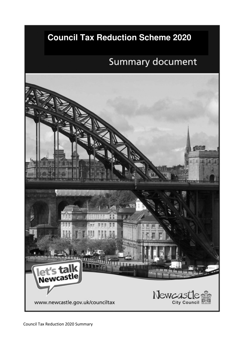## **Council Tax Reduction Scheme 2020**

# **Summary document**

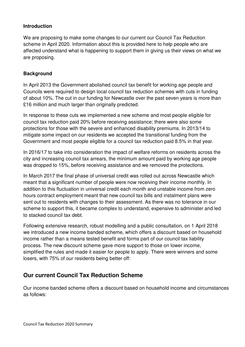#### **Introduction**

We are proposing to make some changes to our current our Council Tax Reduction scheme in April 2020. Information about this is provided here to help people who are affected understand what is happening to support them in giving us their views on what we are proposing.

#### **Background**

In April 2013 the Government abolished council tax benefit for working age people and Councils were required to design local council tax reduction schemes with cuts in funding of about 10%. The cut in our funding for Newcastle over the past seven years is more than £16 million and much larger than originally predicted.

In response to these cuts we implemented a new scheme and most people eligible for council tax reduction paid 20% before receiving assistance; there were also some protections for those with the severe and enhanced disability premiums. In 2013/14 to mitigate some impact on our residents we accepted the transitional funding from the Government and most people eligible for a council tax reduction paid 8.5% in that year.

In 2016/17 to take into consideration the impact of welfare reforms on residents across the city and increasing council tax arrears, the minimum amount paid by working age people was dropped to 15%, before receiving assistance and we removed the protections.

In March 2017 the final phase of universal credit was rolled out across Newcastle which meant that a significant number of people were now receiving their income monthly. In addition to this fluctuation in universal credit each month and unstable income from zero hours contract employment meant that new council tax bills and instalment plans were sent out to residents with changes to their assessment. As there was no tolerance in our scheme to support this, it became complex to understand, expensive to administer and led to stacked council tax debt.

Following extensive research, robust modelling and a public consultation, on 1 April 2018 we introduced a new income banded scheme, which offers a discount based on household income rather than a means tested benefit and forms part of our council tax liability process. The new discount scheme gave more support to those on lower income, simplified the rules and made it easier for people to apply. There were winners and some losers, with 75% of our residents being better off:

## **Our current Council Tax Reduction Scheme**

Our income banded scheme offers a discount based on household income and circumstances as follows: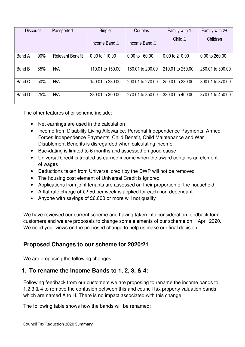| <b>Discount</b> |     | Passported              | Single           | Couples          | Family with 1    | Family with 2+   |
|-----------------|-----|-------------------------|------------------|------------------|------------------|------------------|
|                 |     |                         | Income Band £    | Income Band £    | Child £          | Children         |
| Band A          | 90% | <b>Relevant Benefit</b> | 0.00 to 110.00   | 0.00 to 160.00   | 0.00 to 210.00   | 0.00 to 260.00   |
|                 |     |                         |                  |                  |                  |                  |
| Band B          | 85% | N/A                     | 110.01 to 150.00 | 160.01 to 200.00 | 210.01 to 250.00 | 260.01 to 300.00 |
| Band C          | 50% | N/A                     | 150.01 to 230.00 | 200.01 to 270.00 | 250.01 to 330.00 | 300.01 to 370.00 |
|                 |     |                         |                  |                  |                  |                  |
| Band D          | 25% | N/A                     | 230.01 to 300.00 | 270.01 to 350.00 | 330.01 to 400.00 | 370.01 to 450.00 |
|                 |     |                         |                  |                  |                  |                  |

The other features of or scheme include:

- Net earnings are used in the calculation
- Income from Disability Living Allowance, Personal Independence Payments, Armed Forces Independence Payments, Child Benefit, Child Maintenance and War Disablement Benefits is disregarded when calculating income
- Backdating is limited to 6 months and assessed on good cause
- Universal Credit is treated as earned income when the award contains an element of wages
- Deductions taken from Universal credit by the DWP will not be removed
- The housing cost element of Universal Credit is ignored
- Applications from joint tenants are assessed on their proportion of the household
- A flat rate charge of £2.50 per week is applied for each non-dependant
- Anyone with savings of £6,000 or more will not qualify

We have reviewed our current scheme and having taken into consideration feedback form customers and we are proposals to change some elements of our scheme on 1 April 2020. We need your views on the proposed change to help us make our final decision.

## **Proposed Changes to our scheme for 2020/21**

We are proposing the following changes:

## **1. To rename the Income Bands to 1, 2, 3, & 4:**

Following feedback from our customers we are proposing to rename the income bands to 1,2,3 & 4 to remove the confusion between this and council tax property valuation bands which are named A to H. There is no impact associated with this change:

The following table shows how the bands will be renamed: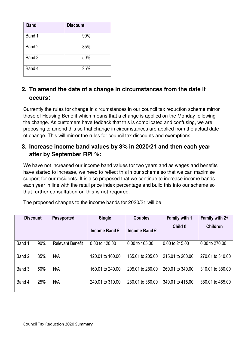| <b>Band</b> | <b>Discount</b> |
|-------------|-----------------|
| Band 1      | 90%             |
| Band 2      | 85%             |
| Band 3      | 50%             |
| Band 4      | 25%             |

## **2. To amend the date of a change in circumstances from the date it occurs:**

Currently the rules for change in circumstances in our council tax reduction scheme mirror those of Housing Benefit which means that a change is applied on the Monday following the change. As customers have fedback that this is complicated and confusing, we are proposing to amend this so that change in circumstances are applied from the actual date of change. This will mirror the rules for council tax discounts and exemptions.

## **3. Increase income band values by 3% in 2020/21 and then each year after by September RPI %:**

We have not increased our income band values for two years and as wages and benefits have started to increase, we need to reflect this in our scheme so that we can maximise support for our residents. It is also proposed that we continue to increase income bands each year in line with the retail price index percentage and build this into our scheme so that further consultation on this is not required.

The proposed changes to the income bands for 2020/21 will be:

| <b>Discount</b> |     | <b>Passported</b>       | <b>Single</b>    | <b>Couples</b>   | <b>Family with 1</b> | Family with 2+   |
|-----------------|-----|-------------------------|------------------|------------------|----------------------|------------------|
|                 |     |                         | Income Band £    | Income Band £    | Child £              | <b>Children</b>  |
| Band 1          | 90% | <b>Relevant Benefit</b> | 0.00 to 120.00   | 0.00 to 165.00   | 0.00 to 215.00       | 0.00 to 270.00   |
| Band 2          | 85% | N/A                     | 120.01 to 160.00 | 165.01 to 205.00 | 215.01 to 260.00     | 270.01 to 310.00 |
| Band 3          | 50% | N/A                     | 160.01 to 240.00 | 205.01 to 280.00 | 260.01 to 340.00     | 310.01 to 380.00 |
| Band 4          | 25% | N/A                     | 240.01 to 310.00 | 280.01 to 360.00 | 340.01 to 415.00     | 380.01 to 465.00 |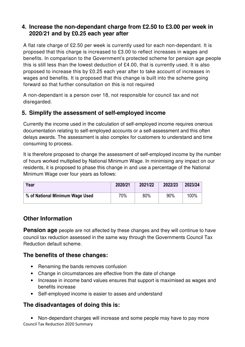## **4. Increase the non-dependant charge from £2.50 to £3.00 per week in 2020/21 and by £0.25 each year after**

A flat rate charge of £2.50 per week is currently used for each non-dependant. It is proposed that this charge is increased to £3.00 to reflect increases in wages and benefits. In comparison to the Government's protected scheme for pension age people this is still less than the lowest deduction of £4.00, that is currently used. It is also proposed to increase this by £0.25 each year after to take account of increases in wages and benefits. It is proposed that this change is built into the scheme going forward so that further consultation on this is not required

A non-dependant is a person over 18, not responsible for council tax and not disregarded.

## **5. Simplify the assessment of self-employed income**

Currently the income used in the calculation of self-employed income requires onerous documentation relating to self-employed accounts or a self-assessment and this often delays awards. The assessment is also complex for customers to understand and time consuming to process.

It is therefore proposed to change the assessment of self-employed income by the number of hours worked multiplied by National Minimum Wage. In minimising any impact on our residents, it is proposed to phase this change in and use a percentage of the National Minimum Wage over four years as follows:

| Year                            | 2020/21 | 2021/22 | 2022/23 | 2023/24 |
|---------------------------------|---------|---------|---------|---------|
| % of National Minimum Wage Used | 70%     | 80%     | 90%     | 100%    |

## **Other Information**

**Pension age** people are not affected by these changes and they will continue to have council tax reduction assessed in the same way through the Governments Council Tax Reduction default scheme.

## **The benefits of these changes:**

- Renaming the bands removes confusion
- Change in circumstances are effective from the date of change
- Increase in income band values ensures that support is maximised as wages and benefits increase
- Self-employed income is easier to asses and understand

#### **The disadvantages of doing this is:**

Council Tax Reduction 2020 Summary • Non-dependant charges will increase and some people may have to pay more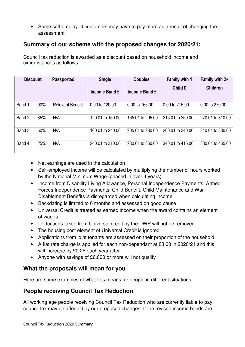• Some self-employed customers may have to pay more as a result of changing the assessment

## **Summary of our scheme with the proposed changes for 2020/21:**

Council tax reduction is awarded as a discount based on household income and circumstances as follows:

| <b>Discount</b> |     | <b>Passported</b>       | <b>Single</b>    | <b>Couples</b>   | Family with 1    | Family with 2+   |
|-----------------|-----|-------------------------|------------------|------------------|------------------|------------------|
|                 |     |                         | Income Band £    | Income Band £    | Child £          | <b>Children</b>  |
| Band 1          | 90% | <b>Relevant Benefit</b> | 0.00 to 120.00   | 0.00 to 165.00   | 0.00 to 215.00   | 0.00 to 270.00   |
| Band 2          | 85% | N/A                     | 120.01 to 160.00 | 165.01 to 205.00 | 215.01 to 260.00 | 270.01 to 310.00 |
| Band 3          | 50% | N/A                     | 160.01 to 240.00 | 205.01 to 280.00 | 260.01 to 340.00 | 310.01 to 380.00 |
| Band 4          | 25% | N/A                     | 240.01 to 310.00 | 280.01 to 360.00 | 340.01 to 415.00 | 380.01 to 465.00 |

- Net earnings are used in the calculation
- Self-employed income will be calculated by multiplying the number of hours worked by the National Minimum Wage (phased in over 4 years)
- Income from Disability Living Allowance, Personal Independence Payments, Armed Forces Independence Payments, Child Benefit, Child Maintenance and War Disablement Benefits is disregarded when calculating income
- Backdating is limited to 6 months and assessed on good cause
- Universal Credit is treated as earned income when the award contains an element of wages
- Deductions taken from Universal credit by the DWP will not be removed
- The housing cost element of Universal Credit is ignored
- Applications from joint tenants are assessed on their proportion of the household
- A flat rate charge is applied for each non-dependant at £3.00 in 2020/21 and this will increase by £0.25 each year after
- Anyone with savings of £6,000 or more will not qualify

#### **What the proposals will mean for you**

Here are some examples of what this means for people in different situations.

#### **People receiving Council Tax Reduction**

All working age people receiving Council Tax Reduction who are currently liable to pay council tax may be affected by our proposed changes. If the revised income bands are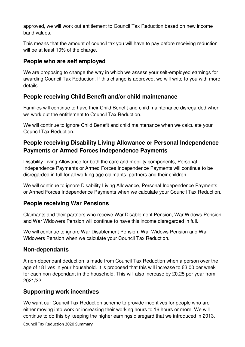approved, we will work out entitlement to Council Tax Reduction based on new income band values.

This means that the amount of council tax you will have to pay before receiving reduction will be at least 10% of the charge.

## **People who are self employed**

We are proposing to change the way in which we assess your self-employed earnings for awarding Council Tax Reduction. If this change is approved, we will write to you with more details

## **People receiving Child Benefit and/or child maintenance**

Families will continue to have their Child Benefit and child maintenance disregarded when we work out the entitlement to Council Tax Reduction.

We will continue to ignore Child Benefit and child maintenance when we calculate your Council Tax Reduction.

## **People receiving Disability Living Allowance or Personal Independence Payments or Armed Forces Independence Payments**

Disability Living Allowance for both the care and mobility components, Personal Independence Payments or Armed Forces Independence Payments will continue to be disregarded in full for all working age claimants, partners and their children.

We will continue to ignore Disability Living Allowance, Personal Independence Payments or Armed Forces Independence Payments when we calculate your Council Tax Reduction.

## **People receiving War Pensions**

Claimants and their partners who receive War Disablement Pension, War Widows Pension and War Widowers Pension will continue to have this income disregarded in full.

We will continue to ignore War Disablement Pension, War Widows Pension and War Widowers Pension when we calculate your Council Tax Reduction.

#### **Non-dependants**

A non-dependant deduction is made from Council Tax Reduction when a person over the age of 18 lives in your household. It is proposed that this will increase to £3.00 per week for each non-dependant in the household. This will also increase by £0.25 per year from 2021/22.

## **Supporting work incentives**

We want our Council Tax Reduction scheme to provide incentives for people who are either moving into work or increasing their working hours to 16 hours or more. We will continue to do this by keeping the higher earnings disregard that we introduced in 2013.

Council Tax Reduction 2020 Summary